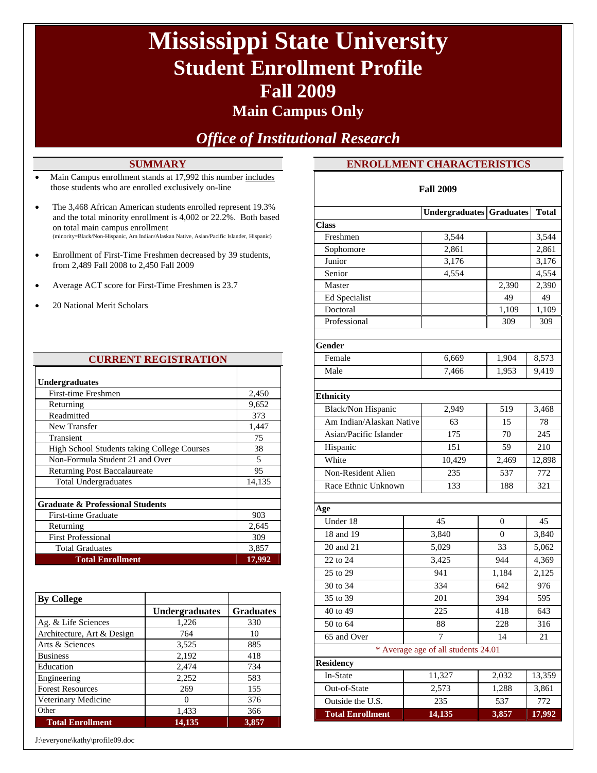# **Mississippi State University Student Enrollment Profile Fall 2009**

### **Main Campus Only**

*Office of Institutional Research* 

#### **SUMMARY**

- Main Campus enrollment stands at 17,992 this number includes those students who are enrolled exclusively on-line
- The 3,468 African American students enrolled represent 19.3% and the total minority enrollment is 4,002 or 22.2%. Both based on total main campus enrollment (minority=Black/Non-Hispanic, Am Indian/Alaskan Native, Asian/Pacific Islander, Hispanic)
- Enrollment of First-Time Freshmen decreased by 39 students, from 2,489 Fall 2008 to 2,450 Fall 2009
- Average ACT score for First-Time Freshmen is 23.7
- 20 National Merit Scholars

| <b>CURRENT REGISTRATION</b>                 |        |
|---------------------------------------------|--------|
| <b>Undergraduates</b>                       |        |
| <b>First-time Freshmen</b>                  | 2,450  |
| Returning                                   | 9,652  |
| Readmitted                                  | 373    |
| New Transfer                                | 1,447  |
| Transient                                   | 75     |
| High School Students taking College Courses | 38     |
| Non-Formula Student 21 and Over             | 5      |
| Returning Post Baccalaureate                | 95     |
| <b>Total Undergraduates</b>                 | 14,135 |
|                                             |        |
| <b>Graduate &amp; Professional Students</b> |        |
| First-time Graduate                         | 903    |
| Returning                                   | 2,645  |
| <b>First Professional</b>                   | 309    |
| <b>Total Graduates</b>                      | 3,857  |
| <b>Total Enrollment</b>                     | 17,992 |

| <b>By College</b>          |                       |                  |
|----------------------------|-----------------------|------------------|
|                            | <b>Undergraduates</b> | <b>Graduates</b> |
| Ag. & Life Sciences        | 1,226                 | 330              |
| Architecture, Art & Design | 764                   | 10               |
| Arts & Sciences            | 3,525                 | 885              |
| <b>Business</b>            | 2,192                 | 418              |
| Education                  | 2,474                 | 734              |
| Engineering                | 2,252                 | 583              |
| <b>Forest Resources</b>    | 269                   | 155              |
| Veterinary Medicine        | 0                     | 376              |
| Other                      | 1,433                 | 366              |
| <b>Total Enrollment</b>    | 14,135                | 3,857            |

J:\everyone\kathy\profile09.doc

### **ENROLLMENT CHARACTERISTICS**

| <b>Fall 2009</b>         |  |                                     |       |        |  |
|--------------------------|--|-------------------------------------|-------|--------|--|
|                          |  | <b>Undergraduates Graduates</b>     |       | Total  |  |
| <b>Class</b>             |  |                                     |       |        |  |
| Freshmen                 |  | 3,544                               |       | 3,544  |  |
| Sophomore                |  | 2,861                               |       | 2,861  |  |
| Junior                   |  | 3,176                               |       | 3,176  |  |
| Senior                   |  | 4,554                               |       | 4,554  |  |
| Master                   |  |                                     | 2,390 | 2,390  |  |
| Ed Specialist            |  |                                     | 49    | 49     |  |
| Doctoral                 |  |                                     | 1,109 | 1,109  |  |
| Professional             |  |                                     | 309   | 309    |  |
| Gender                   |  |                                     |       |        |  |
| Female                   |  | 6,669                               | 1,904 | 8,573  |  |
| Male                     |  | 7,466                               | 1,953 | 9,419  |  |
|                          |  |                                     |       |        |  |
| <b>Ethnicity</b>         |  |                                     |       |        |  |
| Black/Non Hispanic       |  | 2,949                               | 519   | 3,468  |  |
| Am Indian/Alaskan Native |  | 63                                  | 15    | 78     |  |
| Asian/Pacific Islander   |  | 175                                 | 70    | 245    |  |
| Hispanic                 |  | 151                                 | 59    | 210    |  |
| White                    |  | 10,429                              | 2,469 | 12,898 |  |
| Non-Resident Alien       |  | 235                                 | 537   | 772    |  |
| Race Ethnic Unknown      |  | 133                                 | 188   | 321    |  |
|                          |  |                                     |       |        |  |
| Age                      |  |                                     |       |        |  |
| Under 18                 |  | 45                                  | 0     | 45     |  |
| 18 and 19                |  | 3,840                               | 0     | 3,840  |  |
| 20 and 21                |  | 5,029                               | 33    | 5,062  |  |
| 22 to 24                 |  | 3,425                               | 944   | 4,369  |  |
| 25 to 29                 |  | 941                                 | 1,184 | 2,125  |  |
| 30 to 34                 |  | 334                                 | 642   | 976    |  |
| 35 to 39                 |  | 201                                 | 394   | 595    |  |
| 40 to 49                 |  | 225                                 | 418   | 643    |  |
| 50 to 64                 |  | 88                                  | 228   | 316    |  |
| 65 and Over              |  | 7                                   | 14    | 21     |  |
|                          |  | * Average age of all students 24.01 |       |        |  |
| <b>Residency</b>         |  |                                     |       |        |  |
| In-State                 |  | 11,327                              | 2,032 | 13,359 |  |
| Out-of-State             |  | 2,573                               | 1,288 | 3,861  |  |
| Outside the U.S.         |  | 235                                 | 537   | 772    |  |
| <b>Total Enrollment</b>  |  | 14,135                              | 3,857 | 17,992 |  |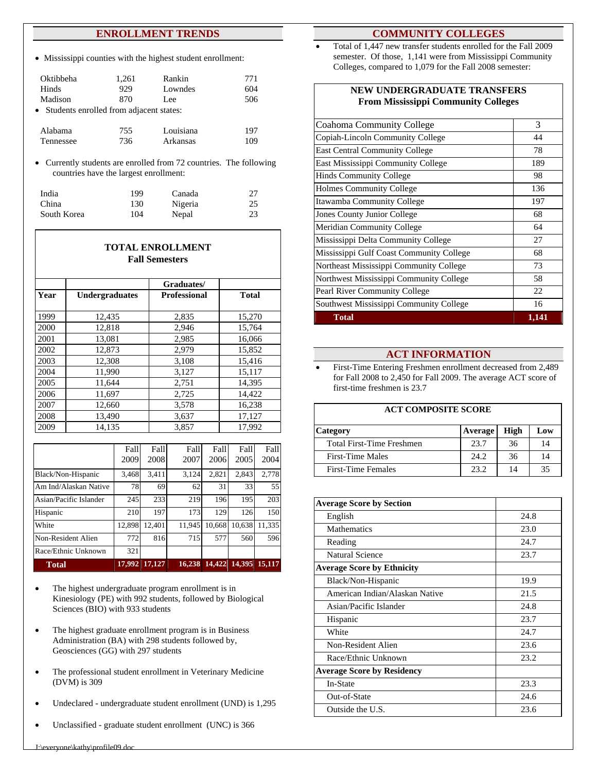#### **ENROLLMENT TRENDS**

Mississippi counties with the highest student enrollment:

| Oktibbeha                                 | 1,261 | Rankin    | 771 |
|-------------------------------------------|-------|-----------|-----|
| Hinds                                     | 929   | Lowndes   | 604 |
| Madison                                   | 870   | Lee       | 506 |
| • Students enrolled from adjacent states: |       |           |     |
|                                           |       |           |     |
| Alabama                                   | 755   | Louisiana | 197 |
| Tennessee                                 | 736   | Arkansas  | 109 |

Currently students are enrolled from 72 countries. The following countries have the largest enrollment:

| India       | 199 | Canada  | 27 |
|-------------|-----|---------|----|
| China       | 130 | Nigeria | 25 |
| South Korea | 104 | Nepal   | 23 |

| <b>TOTAL ENROLLMENT</b><br><b>Fall Semesters</b> |                       |                     |              |  |  |  |
|--------------------------------------------------|-----------------------|---------------------|--------------|--|--|--|
|                                                  |                       | Graduates/          |              |  |  |  |
| Year                                             | <b>Undergraduates</b> | <b>Professional</b> | <b>Total</b> |  |  |  |
| 1999                                             | 12,435                | 2,835               | 15,270       |  |  |  |
| 2000                                             | 12,818                | 2,946               | 15,764       |  |  |  |
| 2001                                             | 13,081                | 2,985               | 16,066       |  |  |  |
| 2002                                             | 12,873                | 2,979               | 15,852       |  |  |  |
| 2003                                             | 12,308                | 3,108               | 15,416       |  |  |  |
| 2004                                             | 11,990                | 3,127               | 15,117       |  |  |  |
| 2005                                             | 11,644                | 2,751               | 14,395       |  |  |  |
| 2006                                             | 11,697                | 2,725               | 14,422       |  |  |  |
| 2007                                             | 12,660                | 3,578               | 16,238       |  |  |  |
| 2008                                             | 13,490                | 3,637               | 17,127       |  |  |  |
| 2009                                             | 14,135                | 3,857               | 17,992       |  |  |  |

|                        | Fall   | Fall   | Fall   | Fall   | Fall   | Fall   |
|------------------------|--------|--------|--------|--------|--------|--------|
|                        | 2009   | 2008   | 2007   | 2006   | 2005   | 2004   |
| Black/Non-Hispanic     | 3.468  | 3,411  | 3,124  | 2,821  | 2,843  | 2.778  |
| Am Ind/Alaskan Native  | 78     | 69     | 62     | 31     | 33     | 55     |
| Asian/Pacific Islander | 245    | 233    | 219    | 196    | 195    | 203    |
| Hispanic               | 210    | 197    | 173    | 129    | 126    | 150    |
| White                  | 12,898 | 12,401 | 11.945 | 10.668 | 10.638 | 11.335 |
| Non-Resident Alien     | 772    | 816    | 715    | 577    | 560    | 596    |
| Race/Ethnic Unknown    | 321    |        |        |        |        |        |
| <b>Total</b>           | 17.992 | 17.127 | 16.238 | 14,422 | 14,395 | 15,117 |

- The highest undergraduate program enrollment is in Kinesiology (PE) with 992 students, followed by Biological Sciences (BIO) with 933 students
- The highest graduate enrollment program is in Business Administration (BA) with 298 students followed by, Geosciences (GG) with 297 students
- The professional student enrollment in Veterinary Medicine (DVM) is 309
- Undeclared undergraduate student enrollment (UND) is 1,295
- Unclassified graduate student enrollment (UNC) is 366

#### **COMMUNITY COLLEGES**

 Total of 1,447 new transfer students enrolled for the Fall 2009 semester. Of those, 1,141 were from Mississippi Community Colleges, compared to 1,079 for the Fall 2008 semester:

| NEW UNDERGRADUATE TRANSFERS<br><b>From Mississippi Community Colleges</b> |       |
|---------------------------------------------------------------------------|-------|
| <b>Coahoma Community College</b>                                          | 3     |
| Copiah-Lincoln Community College                                          | 44    |
| <b>East Central Community College</b>                                     | 78    |
| East Mississippi Community College                                        | 189   |
| <b>Hinds Community College</b>                                            | 98    |
| <b>Holmes Community College</b>                                           | 136   |
| Itawamba Community College                                                | 197   |
| Jones County Junior College                                               | 68    |
| <b>Meridian Community College</b>                                         | 64    |
| Mississippi Delta Community College                                       | 27    |
| Mississippi Gulf Coast Community College                                  | 68    |
| Northeast Mississippi Community College                                   | 73    |
| Northwest Mississippi Community College                                   | 58    |
| Pearl River Community College                                             | 22    |
| Southwest Mississippi Community College                                   | 16    |
| <b>Total</b>                                                              | 1,141 |

#### **ACT INFORMATION**

 First-Time Entering Freshmen enrollment decreased from 2,489 for Fall 2008 to 2,450 for Fall 2009. The average ACT score of first-time freshmen is 23.7

#### **ACT COMPOSITE SCORE**

| <b>Category</b>                  | <b>Average</b> | High | Low |
|----------------------------------|----------------|------|-----|
| <b>Total First-Time Freshmen</b> | 23.7           | 36   | 14  |
| <b>First-Time Males</b>          | 24.2           | 36   |     |
| First-Time Females               | 23.2           | 14   | 35  |
|                                  |                |      |     |

| <b>Average Score by Section</b>   |      |
|-----------------------------------|------|
| English                           | 24.8 |
| Mathematics                       | 23.0 |
| Reading                           | 24.7 |
| Natural Science                   | 23.7 |
| <b>Average Score by Ethnicity</b> |      |
| Black/Non-Hispanic                | 19.9 |
| American Indian/Alaskan Native    | 21.5 |
| Asian/Pacific Islander            | 24.8 |
| Hispanic                          | 23.7 |
| White                             | 24.7 |
| Non-Resident Alien                | 23.6 |
| Race/Ethnic Unknown               | 23.2 |
| <b>Average Score by Residency</b> |      |
| In-State                          | 23.3 |
| Out-of-State                      | 24.6 |
| Outside the U.S.                  | 23.6 |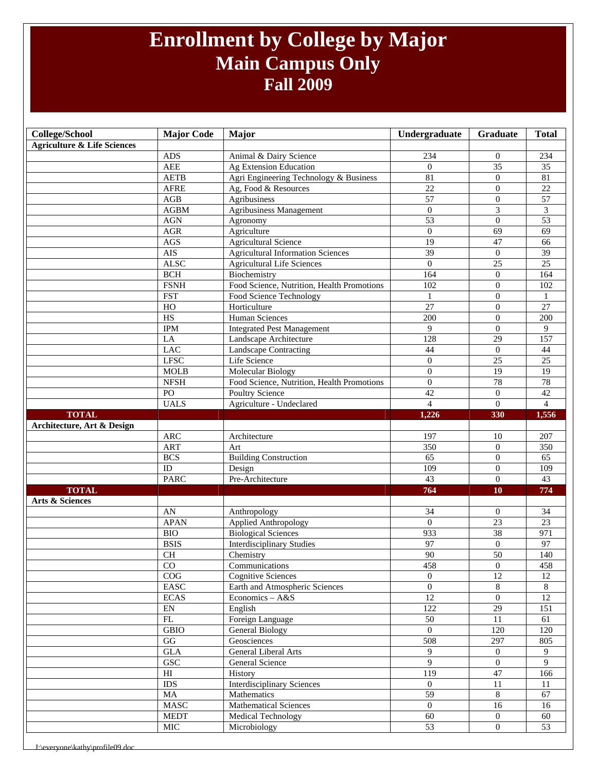### **Enrollment by College by Major Main Campus Only Fall 2009**

| <b>College/School</b>                  | <b>Major Code</b>          | Major                                      | Undergraduate    | Graduate         | <b>Total</b>    |
|----------------------------------------|----------------------------|--------------------------------------------|------------------|------------------|-----------------|
| <b>Agriculture &amp; Life Sciences</b> |                            |                                            |                  |                  |                 |
|                                        | <b>ADS</b>                 | Animal & Dairy Science                     | 234              | $\overline{0}$   | 234             |
|                                        | <b>AEE</b>                 | Ag Extension Education                     | $\mathbf{0}$     | $\overline{35}$  | 35              |
|                                        | <b>AETB</b>                | Agri Engineering Technology & Business     | 81               | $\theta$         | 81              |
|                                        | <b>AFRE</b>                | Ag, Food & Resources                       | $\overline{22}$  | $\boldsymbol{0}$ | 22              |
|                                        | $\mathbf{AGB}$             | Agribusiness                               | $\overline{57}$  | $\overline{0}$   | 57              |
|                                        | ${\bf AGBM}$               | Agribusiness Management                    | $\boldsymbol{0}$ | $\overline{3}$   | 3               |
|                                        | <b>AGN</b>                 | Agronomy                                   | 53               | $\overline{0}$   | 53              |
|                                        | $AGR$                      | Agriculture                                | $\theta$         | 69               | 69              |
|                                        | $\rm{AGS}$                 | <b>Agricultural Science</b>                | 19               | $\overline{47}$  | 66              |
|                                        | <b>AIS</b>                 | <b>Agricultural Information Sciences</b>   | $\overline{39}$  | $\overline{0}$   | 39              |
|                                        | <b>ALSC</b>                | <b>Agricultural Life Sciences</b>          | $\theta$         | 25               | 25              |
|                                        | <b>BCH</b>                 | Biochemistry                               | 164              | $\mathbf{0}$     | 164             |
|                                        | <b>FSNH</b>                | Food Science, Nutrition, Health Promotions | 102              | $\overline{0}$   | 102             |
|                                        | <b>FST</b>                 | Food Science Technology                    | 1                | $\overline{0}$   | 1               |
|                                        | HO                         | Horticulture                               | 27               | $\overline{0}$   | 27              |
|                                        | $\overline{HS}$            | <b>Human Sciences</b>                      | 200              | $\mathbf{0}$     | 200             |
|                                        | <b>IPM</b>                 | <b>Integrated Pest Management</b>          | 9                | $\Omega$         | 9               |
|                                        | LA                         | Landscape Architecture                     | 128              | 29               | 157             |
|                                        | <b>LAC</b>                 | Landscape Contracting                      | 44               | $\mathbf{0}$     | 44              |
|                                        | <b>LFSC</b>                | Life Science                               | $\overline{0}$   | $\overline{25}$  | 25              |
|                                        | <b>MOLB</b>                | <b>Molecular Biology</b>                   | $\mathbf{0}$     | 19               | 19              |
|                                        | <b>NFSH</b>                | Food Science, Nutrition, Health Promotions | $\overline{0}$   | 78               | 78              |
|                                        | PO                         | Poultry Science                            | $\overline{42}$  | $\overline{0}$   | $\overline{42}$ |
|                                        | <b>UALS</b>                | Agriculture - Undeclared                   | $\overline{4}$   | $\Omega$         | $\overline{4}$  |
| <b>TOTAL</b>                           |                            |                                            | 1,226            | 330              | 1,556           |
| Architecture, Art & Design             |                            |                                            |                  |                  |                 |
|                                        | $\rm{ARC}$                 | Architecture                               | 197              | 10               | 207             |
|                                        | <b>ART</b>                 | Art                                        | 350              | $\overline{0}$   | 350             |
|                                        | <b>BCS</b>                 | <b>Building Construction</b>               | $\overline{65}$  | $\overline{0}$   | 65              |
|                                        | ID                         | Design                                     | 109              | $\Omega$         | 109             |
|                                        | <b>PARC</b>                | Pre-Architecture                           | 43               | $\overline{0}$   | 43              |
| <b>TOTAL</b>                           |                            |                                            | 764              | 10               | 774             |
| Arts & Sciences                        |                            |                                            |                  |                  |                 |
|                                        | AN                         | Anthropology                               | 34               | $\boldsymbol{0}$ | 34              |
|                                        | <b>APAN</b>                | Applied Anthropology                       | $\theta$         | $\overline{23}$  | 23              |
|                                        | <b>BIO</b>                 | <b>Biological Sciences</b>                 | 933              | 38               | 971             |
|                                        | <b>BSIS</b>                | <b>Interdisciplinary Studies</b>           | 97               | $\mathbf{0}$     | 97              |
|                                        | <b>CH</b>                  | Chemistry                                  | 90               | 50               | 140             |
|                                        | $\rm CO$                   | Communications                             | 458              | 0                | 458             |
|                                        | COG                        | <b>Cognitive Sciences</b>                  | $\overline{0}$   | $\overline{12}$  | 12              |
|                                        | $\operatorname{EASC}$      | Earth and Atmospheric Sciences             | $\overline{0}$   | $8\,$            | 8               |
|                                        | <b>ECAS</b>                | Economics $- A & S$                        | $\overline{12}$  | $\overline{0}$   | 12              |
|                                        | $\mathop{\rm EN}\nolimits$ | English                                    | $\overline{122}$ | $\overline{29}$  | 151             |
|                                        | $\mathbf{FL}$              | Foreign Language                           | 50               | 11               | 61              |
|                                        | GBIO                       | <b>General Biology</b>                     | $\overline{0}$   | 120              | 120             |
|                                        | $\mathbf{G}\mathbf{G}$     | Geosciences                                | 508              | 297              | 805             |
|                                        | $\operatorname{GLA}$       | General Liberal Arts                       | 9                | $\overline{0}$   | 9               |
|                                        | <b>GSC</b>                 | General Science                            | 9                | $\overline{0}$   | 9               |
|                                        | $\mathop{\rm HI}\nolimits$ | History                                    | 119              | 47               | 166             |
|                                        | <b>IDS</b>                 | <b>Interdisciplinary Sciences</b>          | $\overline{0}$   | 11               | 11              |
|                                        | MA                         | Mathematics                                | 59               | 8                | 67              |
|                                        | <b>MASC</b>                | <b>Mathematical Sciences</b>               | $\overline{0}$   | 16               | 16              |
|                                        | <b>MEDT</b>                | Medical Technology                         | 60               | $\overline{0}$   | 60              |
|                                        | $\rm MIC$                  | Microbiology                               | 53               | $\boldsymbol{0}$ | 53              |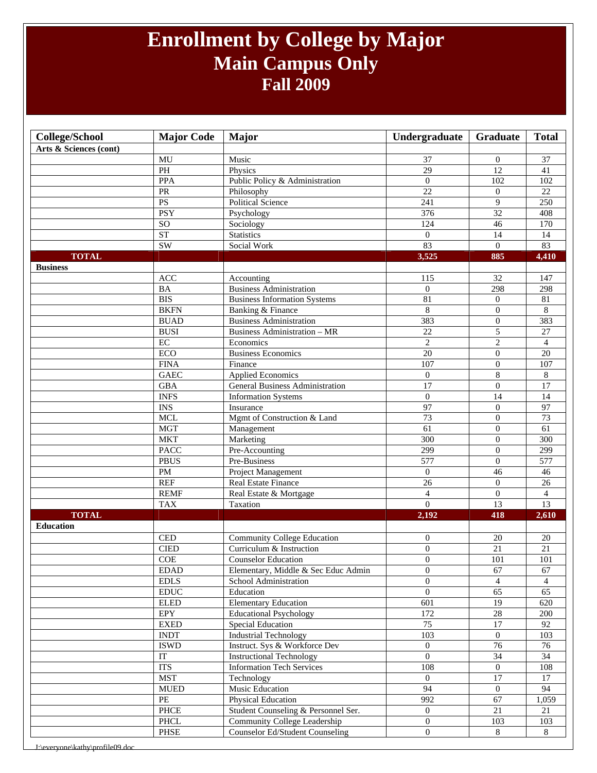### **Enrollment by College by Major Main Campus Only Fall 2009**

| <b>College/School</b>  | <b>Major Code</b>            | <b>Major</b>                        | Undergraduate    | Graduate         | <b>Total</b>    |
|------------------------|------------------------------|-------------------------------------|------------------|------------------|-----------------|
| Arts & Sciences (cont) |                              |                                     |                  |                  |                 |
|                        | MU                           | Music                               | 37               | $\theta$         | 37              |
|                        | PH                           | Physics                             | 29               | 12               | 41              |
|                        | <b>PPA</b>                   | Public Policy & Administration      | $\mathbf{0}$     | 102              | 102             |
|                        | ${\sf PR}$                   | Philosophy                          | $\overline{22}$  | $\overline{0}$   | $\overline{22}$ |
|                        | <b>PS</b>                    | <b>Political Science</b>            | 241              | 9                | 250             |
|                        | <b>PSY</b>                   | Psychology                          | $\overline{376}$ | 32               | 408             |
|                        | $\overline{SO}$              | Sociology                           | 124              | 46               | 170             |
|                        | <b>ST</b>                    | Statistics                          | $\boldsymbol{0}$ | 14               | 14              |
|                        | <b>SW</b>                    | Social Work                         | 83               | $\overline{0}$   | 83              |
| <b>TOTAL</b>           |                              |                                     | 3,525            | 885              | 4,410           |
| <b>Business</b>        |                              |                                     |                  |                  |                 |
|                        | ACC                          | Accounting                          | 115              | 32               | 147             |
|                        | <b>BA</b>                    | <b>Business Administration</b>      | $\Omega$         | 298              | 298             |
|                        | <b>BIS</b>                   | <b>Business Information Systems</b> | 81               | $\mathbf{0}$     | 81              |
|                        | <b>BKFN</b>                  | Banking & Finance                   | 8                | $\overline{0}$   | 8               |
|                        | <b>BUAD</b>                  | <b>Business Administration</b>      | 383              | $\overline{0}$   | 383             |
|                        | <b>BUSI</b>                  | <b>Business Administration - MR</b> | 22               | 5                | 27              |
|                        | $\rm EC$                     | Economics                           | $\overline{c}$   | $\overline{c}$   | $\overline{4}$  |
|                        | <b>ECO</b>                   | <b>Business Economics</b>           | $\overline{20}$  | $\boldsymbol{0}$ | $\overline{20}$ |
|                        | <b>FINA</b>                  | Finance                             | 107              | $\mathbf{0}$     | 107             |
|                        | <b>GAEC</b>                  | <b>Applied Economics</b>            | $\overline{0}$   | $\,8\,$          | 8               |
|                        | <b>GBA</b>                   | General Business Administration     | $\overline{17}$  | $\overline{0}$   | $\overline{17}$ |
|                        | <b>INFS</b>                  | <b>Information Systems</b>          | $\overline{0}$   | 14               | 14              |
|                        | <b>INS</b>                   | Insurance                           | 97               | $\overline{0}$   | 97              |
|                        | <b>MCL</b>                   | Mgmt of Construction & Land         | $\overline{73}$  | $\boldsymbol{0}$ | 73              |
|                        | <b>MGT</b>                   | Management                          | $\overline{61}$  | $\mathbf{0}$     | $\overline{61}$ |
|                        | <b>MKT</b>                   | Marketing                           | 300              | $\overline{0}$   | 300             |
|                        | <b>PACC</b>                  | Pre-Accounting                      | 299              | $\theta$         | 299             |
|                        | <b>PBUS</b>                  | Pre-Business                        | 577              | $\overline{0}$   | 577             |
|                        | $\mathbf{PM}$                | Project Management                  | $\overline{0}$   | 46               | 46              |
|                        | <b>REF</b>                   | Real Estate Finance                 | $\overline{26}$  | $\overline{0}$   | 26              |
|                        | <b>REMF</b>                  | Real Estate & Mortgage              | $\overline{4}$   | $\overline{0}$   | $\overline{4}$  |
|                        | <b>TAX</b>                   | Taxation                            | $\overline{0}$   | $\overline{13}$  | 13              |
| <b>TOTAL</b>           |                              |                                     | 2,192            | 418              | 2,610           |
| <b>Education</b>       |                              |                                     |                  |                  |                 |
|                        | $\ensuremath{\mathsf{CED}}$  | Community College Education         | $\boldsymbol{0}$ | 20               | 20              |
|                        | <b>CIED</b>                  | Curriculum & Instruction            | $\overline{0}$   | 21               | $21\,$          |
|                        | <b>COE</b>                   | <b>Counselor Education</b>          | $\overline{0}$   | 101              | 101             |
|                        | <b>EDAD</b>                  | Elementary, Middle & Sec Educ Admin | $\boldsymbol{0}$ | 67               | 67              |
|                        | <b>EDLS</b>                  | School Administration               | $\Omega$         | $\overline{4}$   | $\Delta$        |
|                        | $\mathop{\rm EDUC}\nolimits$ | Education                           | $\boldsymbol{0}$ | 65               | 65              |
|                        | <b>ELED</b>                  | <b>Elementary Education</b>         | 601              | 19               | 620             |
|                        | EPY                          | <b>Educational Psychology</b>       | 172              | $28\,$           | 200             |
|                        | ${\rm EXED}$                 | <b>Special Education</b>            | $\overline{75}$  | $17\,$           | 92              |
|                        | <b>INDT</b>                  | <b>Industrial Technology</b>        | $\overline{103}$ | $\mathbf{0}$     | 103             |
|                        | <b>ISWD</b>                  | Instruct. Sys & Workforce Dev       | $\overline{0}$   | 76               | 76              |
|                        | IT                           | <b>Instructional Technology</b>     | $\overline{0}$   | $\overline{34}$  | $\overline{34}$ |
|                        | <b>ITS</b>                   | <b>Information Tech Services</b>    | 108              | $\overline{0}$   | 108             |
|                        | <b>MST</b>                   | Technology                          | $\overline{0}$   | 17               | 17              |
|                        | ${\tt MUED}$                 | Music Education                     | $\overline{94}$  | $\mathbf{0}$     | 94              |
|                        | PE                           | Physical Education                  | 992              | 67               | 1,059           |
|                        | PHCE                         | Student Counseling & Personnel Ser. | $\mathbf{0}$     | 21               | 21              |
|                        | $\ensuremath{\mathsf{PHCL}}$ | Community College Leadership        | $\boldsymbol{0}$ | 103              | 103             |
|                        | PHSE                         | Counselor Ed/Student Counseling     | $\overline{0}$   | 8                | 8               |
|                        |                              |                                     |                  |                  |                 |

veryone\kathy\profile09.do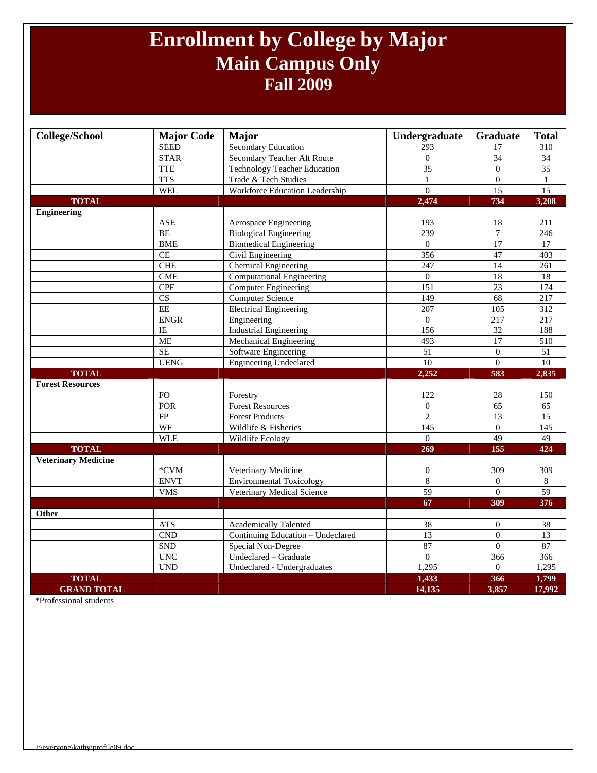### **Enrollment by College by Major Main Campus Only Fall 2009**

| <b>College/School</b>      | <b>Major Code</b>       | <b>Major</b>                        | Undergraduate        | Graduate         | <b>Total</b>     |
|----------------------------|-------------------------|-------------------------------------|----------------------|------------------|------------------|
|                            | <b>SEED</b>             | <b>Secondary Education</b>          | 293                  | 17               | 310              |
|                            | <b>STAR</b>             | Secondary Teacher Alt Route         | $\mathbf{0}$         | 34               | $\overline{34}$  |
|                            | <b>TTE</b>              | <b>Technology Teacher Education</b> | $\overline{35}$      | $\overline{0}$   | $\overline{35}$  |
|                            | <b>TTS</b>              | Trade & Tech Studies                | $\mathbf{1}$         | $\boldsymbol{0}$ | $\mathbf{1}$     |
|                            | <b>WEL</b>              | Workforce Education Leadership      | $\overline{0}$       | $\overline{15}$  | 15               |
| <b>TOTAL</b>               |                         |                                     | 2,474                | 734              | 3,208            |
| <b>Engineering</b>         |                         |                                     |                      |                  |                  |
|                            | <b>ASE</b>              | Aerospace Engineering               | 193                  | 18               | $\overline{211}$ |
|                            | BE                      | <b>Biological Engineering</b>       | 239                  | 7                | 246              |
|                            | <b>BME</b>              | <b>Biomedical Engineering</b>       | $\overline{0}$       | 17               | $\overline{17}$  |
|                            | CE                      | Civil Engineering                   | 356                  | 47               | 403              |
|                            | CHE                     | <b>Chemical Engineering</b>         | $\overline{247}$     | $\overline{14}$  | $\overline{261}$ |
|                            | <b>CME</b>              | <b>Computational Engineering</b>    | $\mathbf{0}$         | 18               | 18               |
|                            | <b>CPE</b>              | <b>Computer Engineering</b>         | 151                  | 23               | 174              |
|                            | $\overline{\text{CS}}$  | <b>Computer Science</b>             | 149                  | $\overline{68}$  | $\overline{217}$ |
|                            | $\rm{EE}$               | <b>Electrical Engineering</b>       | $\overline{207}$     | 105              | $\overline{312}$ |
|                            | <b>ENGR</b>             | Engineering                         | $\mathbf{0}$         | 217              | 217              |
|                            | IE                      | <b>Industrial Engineering</b>       | 156                  | $\overline{32}$  | 188              |
|                            | <b>ME</b>               | <b>Mechanical Engineering</b>       | 493                  | $\overline{17}$  | 510              |
|                            | SE                      | Software Engineering                | 51                   | $\overline{0}$   | $\overline{51}$  |
|                            | <b>UENG</b>             | <b>Engineering Undeclared</b>       | 10                   | $\Omega$         | $\overline{10}$  |
| <b>TOTAL</b>               |                         |                                     | 2,252                | 583              | 2,835            |
| <b>Forest Resources</b>    |                         |                                     |                      |                  |                  |
|                            | <b>FO</b>               | Forestry                            | 122                  | 28               | 150              |
|                            | <b>FOR</b>              | <b>Forest Resources</b>             | $\mathbf{0}$         | $\overline{65}$  | 65               |
|                            | FP                      | <b>Forest Products</b>              | $\overline{2}$       | $\overline{13}$  | $\overline{15}$  |
|                            | WF                      | Wildlife & Fisheries                | $\overline{145}$     | $\mathbf{0}$     | $\overline{145}$ |
|                            | <b>WLE</b>              | <b>Wildlife Ecology</b>             | $\Omega$             | 49               | 49               |
| <b>TOTAL</b>               |                         |                                     | 269                  | 155              | 424              |
| <b>Veterinary Medicine</b> |                         |                                     |                      |                  |                  |
|                            | $^{\ast}$ CVM           | Veterinary Medicine                 | $\boldsymbol{0}$     | 309              | 309              |
|                            | <b>ENVT</b>             | <b>Environmental Toxicology</b>     | $\overline{8}$       | $\overline{0}$   | $\,8\,$          |
|                            | <b>VMS</b>              | Veterinary Medical Science          | 59                   | $\overline{0}$   | $\overline{59}$  |
|                            |                         |                                     | 67                   | 309              | 376              |
| Other                      |                         |                                     |                      |                  |                  |
|                            | <b>ATS</b>              | <b>Academically Talented</b>        | 38                   | $\overline{0}$   | 38               |
|                            |                         |                                     |                      |                  |                  |
|                            |                         |                                     |                      | $\overline{0}$   |                  |
|                            | $\mathop{\mathrm{CND}}$ | Continuing Education - Undeclared   | 13                   | $\boldsymbol{0}$ | $\overline{13}$  |
|                            | <b>SND</b>              | Special Non-Degree                  | 87<br>$\overline{0}$ |                  | 87               |
|                            | <b>UNC</b>              | Undeclared - Graduate               |                      | 366<br>$\Omega$  | 366              |
| <b>TOTAL</b>               | <b>UND</b>              | Undeclared - Undergraduates         | 1,295<br>1,433       | 366              | 1,295<br>1,799   |

\*Professional students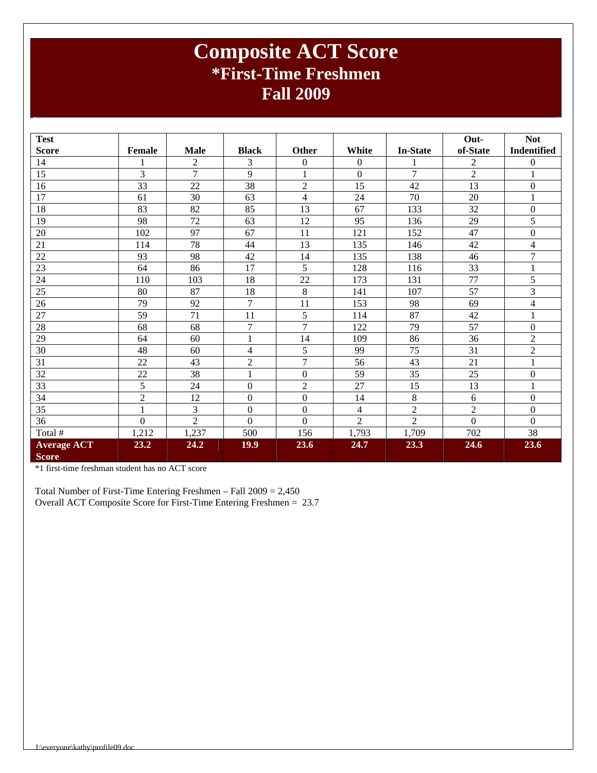### **Composite ACT Score \*First-Time Freshmen Fall 2009**

| <b>Test</b>        |                |                |                  |                  |                         |                 | Out-           | <b>Not</b>         |
|--------------------|----------------|----------------|------------------|------------------|-------------------------|-----------------|----------------|--------------------|
| <b>Score</b>       | Female         | <b>Male</b>    | <b>Black</b>     | Other            | White                   | <b>In-State</b> | of-State       | <b>Indentified</b> |
| 14                 | 1              | $\overline{2}$ | 3                | $\boldsymbol{0}$ | $\boldsymbol{0}$        |                 | $\overline{c}$ | $\boldsymbol{0}$   |
| 15                 | 3              | $\overline{7}$ | 9                | $\mathbf{1}$     | $\overline{0}$          | 7               | $\overline{2}$ | $\mathbf{1}$       |
| 16                 | 33             | 22             | 38               | $\overline{2}$   | 15                      | 42              | 13             | $\boldsymbol{0}$   |
| 17                 | 61             | 30             | 63               | $\overline{4}$   | 24                      | 70              | 20             | $\mathbf{1}$       |
| 18                 | 83             | 82             | 85               | 13               | 67                      | 133             | 32             | $\boldsymbol{0}$   |
| 19                 | 98             | 72             | 63               | 12               | 95                      | 136             | 29             | 5                  |
| 20                 | 102            | 97             | 67               | 11               | 121                     | 152             | 47             | $\boldsymbol{0}$   |
| 21                 | 114            | 78             | 44               | 13               | 135                     | 146             | 42             | 4                  |
| 22                 | 93             | 98             | 42               | 14               | 135                     | 138             | 46             | 7                  |
| 23                 | 64             | 86             | 17               | 5                | 128                     | 116             | 33             | 1                  |
| 24                 | 110            | 103            | 18               | 22               | 173                     | 131             | 77             | 5                  |
| 25                 | 80             | 87             | 18               | 8                | 141                     | 107             | 57             | 3                  |
| 26                 | 79             | 92             | $\overline{7}$   | 11               | 153                     | 98              | 69             | $\overline{4}$     |
| 27                 | 59             | 71             | 11               | 5                | 114                     | 87              | 42             | $\mathbf{1}$       |
| 28                 | 68             | 68             | $\tau$           | $\overline{7}$   | 122                     | 79              | 57             | $\boldsymbol{0}$   |
| 29                 | 64             | 60             | 1                | 14               | 109                     | 86              | 36             | $\overline{2}$     |
| 30                 | 48             | 60             | 4                | 5                | 99                      | 75              | 31             | $\overline{c}$     |
| 31                 | 22             | 43             | $\overline{2}$   | $\overline{7}$   | 56                      | 43              | 21             | $\mathbf{1}$       |
| 32                 | 22             | 38             | 1                | $\boldsymbol{0}$ | 59                      | 35              | 25             | $\boldsymbol{0}$   |
| 33                 | 5              | 24             | $\mathbf{0}$     | $\overline{2}$   | 27                      | 15              | 13             | $\mathbf{1}$       |
| 34                 | $\overline{2}$ | 12             | $\boldsymbol{0}$ | $\boldsymbol{0}$ | 14                      | 8               | 6              | $\boldsymbol{0}$   |
| 35                 | $\,1$          | 3              | $\mathbf{0}$     | $\boldsymbol{0}$ | $\overline{\mathbf{4}}$ | $\overline{c}$  | $\sqrt{2}$     | $\boldsymbol{0}$   |
| 36                 | $\Omega$       | $\overline{2}$ | $\Omega$         | $\theta$         | $\overline{2}$          | $\overline{2}$  | $\Omega$       | $\Omega$           |
| Total #            | 1,212          | 1,237          | 500              | 156              | 1,793                   | 1,709           | 702            | 38                 |
| <b>Average ACT</b> | 23.2           | 24.2           | 19.9             | 23.6             | 24.7                    | 23.3            | 24.6           | 23.6               |
| <b>Score</b>       |                |                |                  |                  |                         |                 |                |                    |

\*1 first-time freshman student has no ACT score

Total Number of First-Time Entering Freshmen – Fall 2009 = 2,450 Overall ACT Composite Score for First-Time Entering Freshmen = 23.7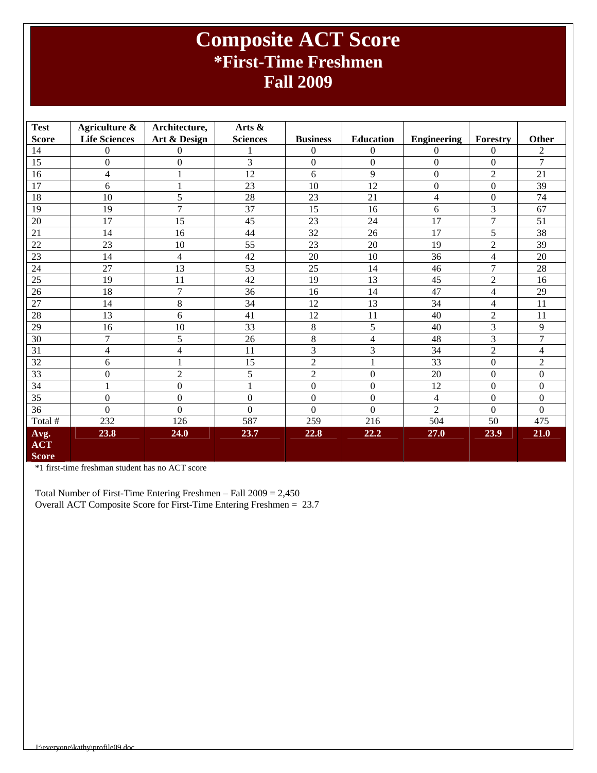### **Composite ACT Score \*First-Time Freshmen Fall 2009**

| <b>Test</b>                        | Agriculture &        | Architecture,    | Arts $\&$       |                  |                  |                    |                          |                  |
|------------------------------------|----------------------|------------------|-----------------|------------------|------------------|--------------------|--------------------------|------------------|
| <b>Score</b>                       | <b>Life Sciences</b> | Art & Design     | <b>Sciences</b> | <b>Business</b>  | <b>Education</b> | <b>Engineering</b> | Forestry                 | Other            |
| 14                                 | $\Omega$             | 0                |                 | $\Omega$         | $\Omega$         | $\Omega$           | $\Omega$                 | $\overline{c}$   |
| 15                                 | $\boldsymbol{0}$     | $\boldsymbol{0}$ | 3               | $\Omega$         | $\Omega$         | $\theta$           | $\boldsymbol{0}$         | $\overline{7}$   |
| 16                                 | 4                    | 1                | 12              | 6                | 9                | $\boldsymbol{0}$   | $\overline{c}$           | 21               |
| $\overline{17}$                    | 6                    | $\mathbf{1}$     | 23              | 10               | 12               | $\overline{0}$     | $\Omega$                 | 39               |
| 18                                 | 10                   | 5                | 28              | 23               | 21               | $\overline{4}$     | $\Omega$                 | 74               |
| 19                                 | 19                   | $\overline{7}$   | 37              | 15               | 16               | 6                  | 3                        | 67               |
| 20                                 | 17                   | 15               | 45              | 23               | 24               | 17                 | $\overline{7}$           | 51               |
| 21                                 | 14                   | 16               | 44              | 32               | 26               | 17                 | 5                        | 38               |
| 22                                 | 23                   | 10               | 55              | 23               | 20               | 19                 | $\overline{2}$           | 39               |
| 23                                 | 14                   | $\overline{4}$   | 42              | 20               | 10               | 36                 | 4                        | 20               |
| 24                                 | 27                   | 13               | 53              | 25               | 14               | 46                 | 7                        | 28               |
| 25                                 | 19                   | 11               | 42              | 19               | 13               | 45                 | $\overline{2}$           | 16               |
| 26                                 | 18                   | 7                | 36              | 16               | 14               | 47                 | $\overline{\mathcal{L}}$ | 29               |
| 27                                 | 14                   | $8\,$            | 34              | 12               | 13               | 34                 | 4                        | 11               |
| 28                                 | 13                   | 6                | 41              | 12               | 11               | 40                 | $\overline{c}$           | 11               |
| 29                                 | 16                   | 10               | 33              | 8                | 5                | 40                 | 3                        | 9                |
| 30                                 | 7                    | 5                | 26              | 8                | $\overline{4}$   | 48                 | 3                        | 7                |
| 31                                 | 4                    | 4                | 11              | 3                | 3                | 34                 | $\overline{2}$           | 4                |
| 32                                 | 6                    |                  | 15              | $\overline{2}$   |                  | $\overline{33}$    | $\overline{0}$           | $\overline{2}$   |
| 33                                 | $\boldsymbol{0}$     | $\overline{2}$   | 5               | $\overline{c}$   | $\Omega$         | 20                 | $\boldsymbol{0}$         | $\boldsymbol{0}$ |
| 34                                 | $\mathbf{1}$         | $\boldsymbol{0}$ | 1               | $\boldsymbol{0}$ | $\Omega$         | 12                 | $\mathbf{0}$             | $\Omega$         |
| 35                                 | $\boldsymbol{0}$     | $\Omega$         | $\Omega$        | $\Omega$         | $\overline{0}$   | $\overline{4}$     | $\boldsymbol{0}$         | $\Omega$         |
| 36                                 | $\Omega$             | $\Omega$         | $\Omega$        | $\Omega$         | $\overline{0}$   | $\overline{2}$     | $\Omega$                 | $\Omega$         |
| Total #                            | 232                  | 126              | 587             | 259              | 216              | 504                | 50                       | 475              |
| Avg.<br><b>ACT</b><br><b>Score</b> | 23.8                 | 24.0             | 23.7            | 22.8             | 22.2             | 27.0               | 23.9                     | 21.0             |

\*1 first-time freshman student has no ACT score

Total Number of First-Time Entering Freshmen – Fall 2009 = 2,450 Overall ACT Composite Score for First-Time Entering Freshmen = 23.7